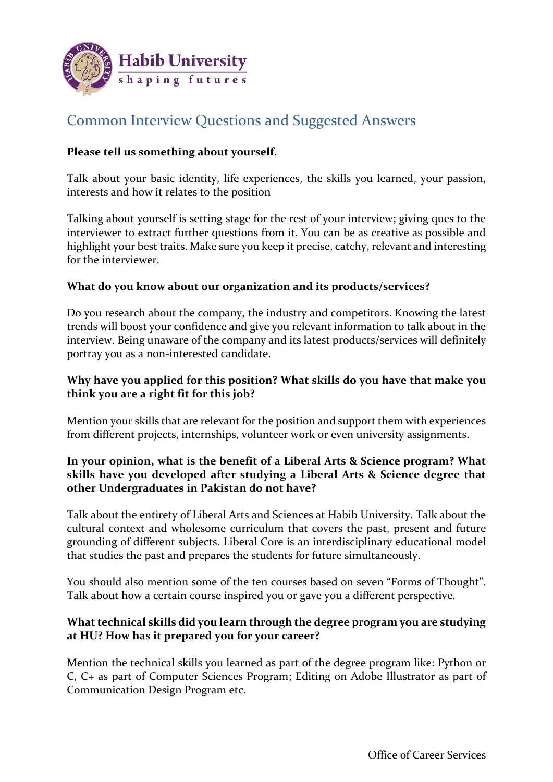

# Common Interview Questions and Suggested Answers

## **Please tell us something about yourself.**

Talk about your basic identity, life experiences, the skills you learned, your passion, interests and how it relates to the position

Talking about yourself is setting stage for the rest of your interview; giving ques to the interviewer to extract further questions from it. You can be as creative as possible and highlight your best traits. Make sure you keep it precise, catchy, relevant and interesting for the interviewer.

#### **What do you know about our organization and its products/services?**

Do you research about the company, the industry and competitors. Knowing the latest trends will boost your confidence and give you relevant information to talk about in the interview. Being unaware of the company and its latest products/services will definitely portray you as a non-interested candidate.

## **Why have you applied for this position? What skills do you have that make you think you are a right fit for this job?**

Mention your skills that are relevant for the position and support them with experiences from different projects, internships, volunteer work or even university assignments.

## **In your opinion, what is the benefit of a Liberal Arts & Science program? What skills have you developed after studying a Liberal Arts & Science degree that other Undergraduates in Pakistan do not have?**

Talk about the entirety of Liberal Arts and Sciences at Habib University. Talk about the cultural context and wholesome curriculum that covers the past, present and future grounding of different subjects. Liberal Core is an interdisciplinary educational model that studies the past and prepares the students for future simultaneously.

You should also mention some of the ten courses based on seven "Forms of Thought". Talk about how a certain course inspired you or gave you a different perspective.

# **What technical skills did you learn through the degree program you are studying at HU? How has it prepared you for your career?**

Mention the technical skills you learned as part of the degree program like: Python or C, C+ as part of Computer Sciences Program; Editing on Adobe Illustrator as part of Communication Design Program etc.